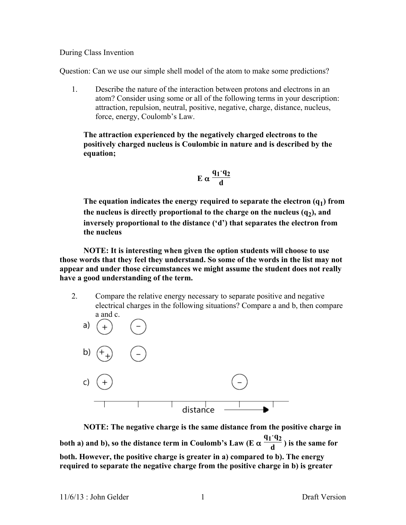#### During Class Invention

Question: Can we use our simple shell model of the atom to make some predictions?

1. Describe the nature of the interaction between protons and electrons in an atom? Consider using some or all of the following terms in your description: attraction, repulsion, neutral, positive, negative, charge, distance, nucleus, force, energy, Coulomb's Law.

**The attraction experienced by the negatively charged electrons to the positively charged nucleus is Coulombic in nature and is described by the equation;**

$$
E \alpha \frac{q_1 \cdot q_2}{d}
$$

The equation indicates the energy required to separate the electron  $(q_1)$  from the nucleus is directly proportional to the charge on the nucleus  $(q_2)$ , and **inversely proportional to the distance ('d') that separates the electron from the nucleus**

**NOTE: It is interesting when given the option students will choose to use those words that they feel they understand. So some of the words in the list may not appear and under those circumstances we might assume the student does not really have a good understanding of the term.**

2. Compare the relative energy necessary to separate positive and negative electrical charges in the following situations? Compare a and b, then compare a and c.



**NOTE: The negative charge is the same distance from the positive charge in both a) and b), so the distance term in Coulomb's Law (E** α **q1·q2**  $\frac{12}{d}$ ) is the same for **both. However, the positive charge is greater in a) compared to b). The energy required to separate the negative charge from the positive charge in b) is greater**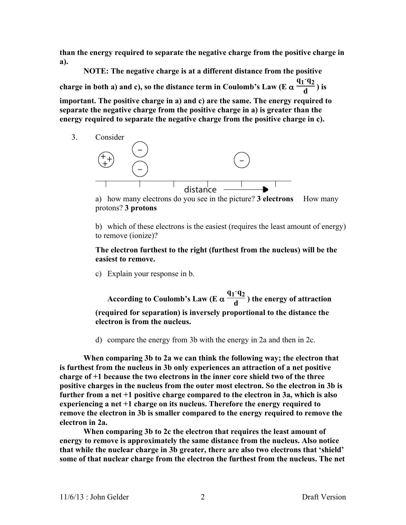**than the energy required to separate the negative charge from the positive charge in a).**

**NOTE: The negative charge is at a different distance from the positive charge in both a) and c), so the distance term in Coulomb's Law (E** α **q1·q2**  $\frac{12}{d}$ ) is

**important. The positive charge in a) and c) are the same. The energy required to separate the negative charge from the positive charge in a) is greater than the energy required to separate the negative charge from the positive charge in c).**



a) how many electrons do you see in the picture? **3 electrons** How many protons? **3 protons**

b) which of these electrons is the easiest (requires the least amount of energy) to remove (ionize)?

**The electron furthest to the right (furthest from the nucleus) will be the easiest to remove.**

c) Explain your response in b.

**According to Coulomb's Law (E** α **q1·q2**  $\frac{d}{d}$ ) the energy of attraction **(required for separation) is inversely proportional to the distance the electron is from the nucleus.**

d) compare the energy from 3b with the energy in 2a and then in 2c.

**When comparing 3b to 2a we can think the following way; the electron that is furthest from the nucleus in 3b only experiences an attraction of a net positive charge of +1 because the two electrons in the inner core shield two of the three positive charges in the nucleus from the outer most electron. So the electron in 3b is further from a net +1 positive charge compared to the electron in 3a, which is also experiencing a net +1 charge on its nucleus. Therefore the energy required to remove the electron in 3b is smaller compared to the energy required to remove the electron in 2a.**

**When comparing 3b to 2c the electron that requires the least amount of energy to remove is approximately the same distance from the nucleus. Also notice that while the nuclear charge in 3b greater, there are also two electrons that 'shield' some of that nuclear charge from the electron the furthest from the nucleus. The net**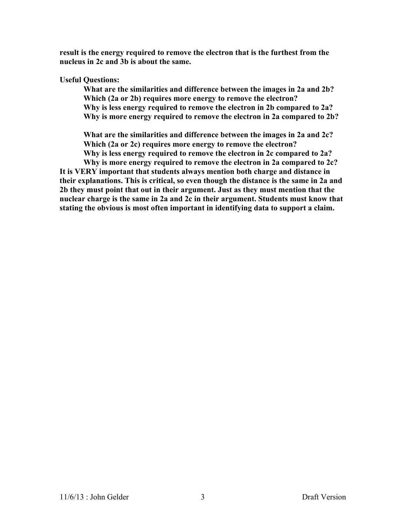**result is the energy required to remove the electron that is the furthest from the nucleus in 2c and 3b is about the same.** 

### **Useful Questions:**

**What are the similarities and difference between the images in 2a and 2b? Which (2a or 2b) requires more energy to remove the electron? Why is less energy required to remove the electron in 2b compared to 2a? Why is more energy required to remove the electron in 2a compared to 2b?**

**What are the similarities and difference between the images in 2a and 2c? Which (2a or 2c) requires more energy to remove the electron? Why is less energy required to remove the electron in 2c compared to 2a? Why is more energy required to remove the electron in 2a compared to 2c?**

**It is VERY important that students always mention both charge and distance in their explanations. This is critical, so even though the distance is the same in 2a and 2b they must point that out in their argument. Just as they must mention that the nuclear charge is the same in 2a and 2c in their argument. Students must know that stating the obvious is most often important in identifying data to support a claim.**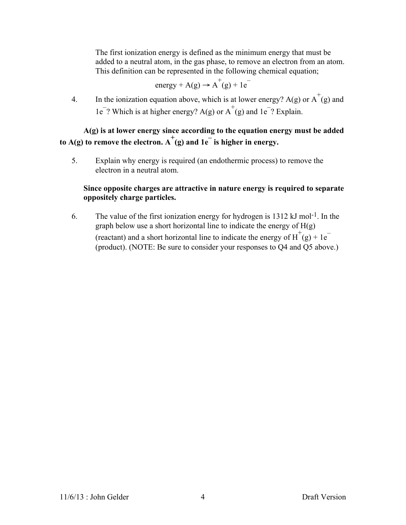The first ionization energy is defined as the minimum energy that must be added to a neutral atom, in the gas phase, to remove an electron from an atom. This definition can be represented in the following chemical equation;

energy + A(g) 
$$
\rightarrow
$$
 A<sup>+</sup>(g) + 1e<sup>-</sup>

4. In the ionization equation above, which is at lower energy? A(g) or  $A^+(g)$  and  $1e^-$ ? Which is at higher energy? A(g) or  $A^+(g)$  and  $1e^-$ ? Explain.

# **A(g) is at lower energy since according to the equation energy must be added**  to  $A(g)$  to remove the electron.  $A^+(g)$  and  $1e^-$  is higher in energy.

5. Explain why energy is required (an endothermic process) to remove the electron in a neutral atom.

## **Since opposite charges are attractive in nature energy is required to separate oppositely charge particles.**

6. The value of the first ionization energy for hydrogen is 1312 kJ mol-1. In the graph below use a short horizontal line to indicate the energy of H(g) (reactant) and a short horizontal line to indicate the energy of  $H^+(g) + 1e^-$ (product). (NOTE: Be sure to consider your responses to Q4 and Q5 above.)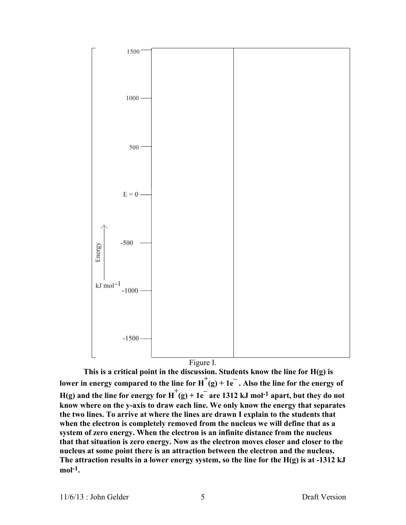

**This is a critical point in the discussion. Students know the line for H(g) is**  lower in energy compared to the line for  $H^+(g) + 1e^-$ . Also the line for the energy of  $H(g)$  and the line for energy for  $H^+(g) + 1e^-$  are 1312 kJ mol<sup>-1</sup> apart, but they do not **know where on the y-axis to draw each line. We only know the energy that separates the two lines. To arrive at where the lines are drawn I explain to the students that when the electron is completely removed from the nucleus we will define that as a system of zero energy. When the electron is an infinite distance from the nucleus that that situation is zero energy. Now as the electron moves closer and closer to the nucleus at some point there is an attraction between the electron and the nucleus. The attraction results in a lower energy system, so the line for the H(g) is at -1312 kJ mol-1.**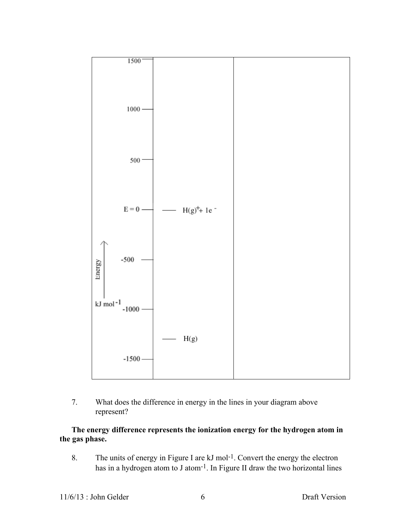

7. What does the difference in energy in the lines in your diagram above represent?

## **The energy difference represents the ionization energy for the hydrogen atom in the gas phase.**

8. The units of energy in Figure I are kJ mol<sup>-1</sup>. Convert the energy the electron has in a hydrogen atom to J atom-1. In Figure II draw the two horizontal lines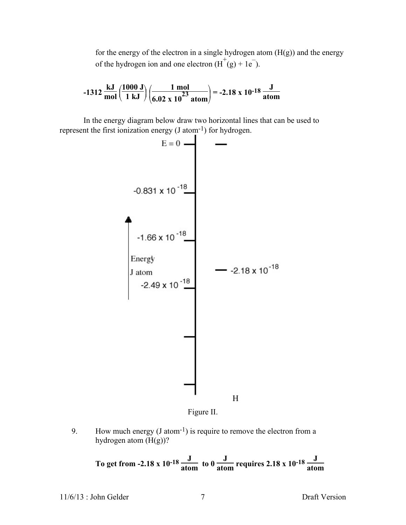for the energy of the electron in a single hydrogen atom  $(H(g))$  and the energy of the hydrogen ion and one electron  $(H^+(g) + 1e^-)$ .

$$
-1312 \frac{\text{kJ}}{\text{mol}} \left( \frac{1000 \text{ J}}{1 \text{ kJ}} \right) \left( \frac{1 \text{ mol}}{6.02 \text{ x } 10^{23} \text{ atom}} \right) = -2.18 \text{ x } 10^{-18} \frac{\text{J}}{\text{atom}}
$$

In the energy diagram below draw two horizontal lines that can be used to



Figure II.

9. How much energy  $(J \text{ atom}^{-1})$  is require to remove the electron from a hydrogen atom (H(g))?

To get from -2.18 x 10<sup>-18</sup> 
$$
\frac{J}{\text{atom}}
$$
 to 0  $\frac{J}{\text{atom}}$  requires 2.18 x 10<sup>-18</sup>  $\frac{J}{\text{atom}}$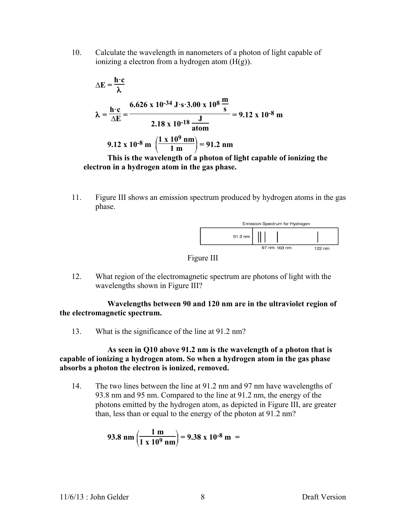10. Calculate the wavelength in nanometers of a photon of light capable of ionizing a electron from a hydrogen atom  $(H(g))$ .

$$
\Delta E = \frac{h \cdot c}{\lambda}
$$
  

$$
\lambda = \frac{h \cdot c}{\Delta E} = \frac{6.626 \times 10^{-34} \text{ J} \cdot \text{s} \cdot 3.00 \times 10^8 \frac{\text{m}}{\text{s}}}{2.18 \times 10^{-18} \frac{\text{J}}{\text{atom}}} = 9.12 \times 10^{-8} \text{ m}
$$
  
9.12 x 10<sup>-8</sup> m  $\left(\frac{1 \times 10^9 \text{ nm}}{1 \text{ m}}\right) = 91.2 \text{ nm}$ 

#### **This is the wavelength of a photon of light capable of ionizing the electron in a hydrogen atom in the gas phase.**

11. Figure III shows an emission spectrum produced by hydrogen atoms in the gas phase.





12. What region of the electromagnetic spectrum are photons of light with the wavelengths shown in Figure III?

**Wavelengths between 90 and 120 nm are in the ultraviolet region of the electromagnetic spectrum.**

13. What is the significance of the line at 91.2 nm?

**As seen in Q10 above 91.2 nm is the wavelength of a photon that is capable of ionizing a hydrogen atom. So when a hydrogen atom in the gas phase absorbs a photon the electron is ionized, removed.**

14. The two lines between the line at 91.2 nm and 97 nm have wavelengths of 93.8 nm and 95 nm. Compared to the line at 91.2 nm, the energy of the photons emitted by the hydrogen atom, as depicted in Figure III, are greater than, less than or equal to the energy of the photon at 91.2 nm?

93.8 nm 
$$
\left(\frac{1 \text{ m}}{1 \text{ x } 10^9 \text{ nm}}\right)
$$
 = 9.38 x 10<sup>-8</sup> m =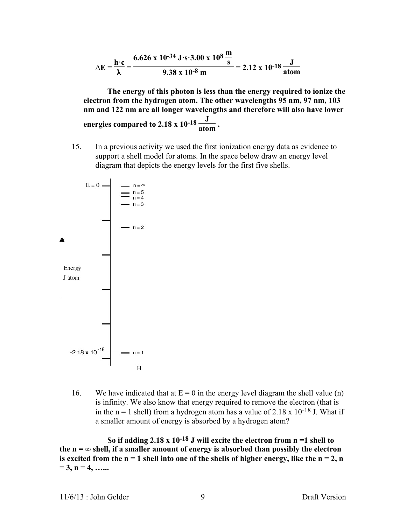$$
\Delta E = \frac{h \cdot c}{\lambda} = \frac{6.626 \times 10^{-34} \text{ J} \cdot \text{s} \cdot 3.00 \times 10^8 \frac{\text{m}}{\text{s}}}{9.38 \times 10^{-8} \text{ m}} = 2.12 \times 10^{-18} \frac{\text{J}}{\text{atom}}
$$

**The energy of this photon is less than the energy required to ionize the electron from the hydrogen atom. The other wavelengths 95 nm, 97 nm, 103 nm and 122 nm are all longer wavelengths and therefore will also have lower energies compared to 2.18 x 10<sup>-18</sup>**  $\frac{J}{\text{atom}}$ **.** 

15. In a previous activity we used the first ionization energy data as evidence to support a shell model for atoms. In the space below draw an energy level diagram that depicts the energy levels for the first five shells.



16. We have indicated that at  $E = 0$  in the energy level diagram the shell value (n) is infinity. We also know that energy required to remove the electron (that is in the  $n = 1$  shell) from a hydrogen atom has a value of 2.18 x 10<sup>-18</sup> J. What if a smaller amount of energy is absorbed by a hydrogen atom?

**So if adding 2.18 x 10-18 J will excite the electron from n =1 shell to**  the  $n = \infty$  shell, if a smaller amount of energy is absorbed than possibly the electron is excited from the  $n = 1$  shell into one of the shells of higher energy, like the  $n = 2$ , n  $= 3, n = 4, \ldots$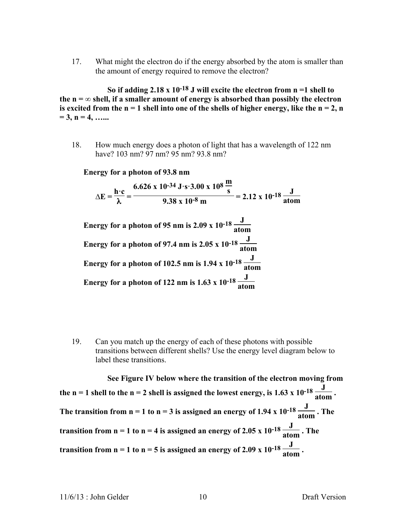17. What might the electron do if the energy absorbed by the atom is smaller than the amount of energy required to remove the electron?

**So if adding 2.18 x 10-18 J will excite the electron from n =1 shell to**  the  $n = \infty$  shell, if a smaller amount of energy is absorbed than possibly the electron is excited from the  $n = 1$  shell into one of the shells of higher energy, like the  $n = 2$ , n **= 3, n = 4, …...**

18. How much energy does a photon of light that has a wavelength of 122 nm have? 103 nm? 97 nm? 95 nm? 93.8 nm?

**Energy for a photon of 93.8 nm**

 $\Delta E = \frac{\mathbf{h} \cdot \mathbf{c}}{\lambda}$ **6.626** x 10<sup>-34</sup> **J** $\cdot$ **s** $\cdot$ **3.00** x 10<sup>8</sup>  $\frac{m}{s}$  $\frac{6}{9.38 \times 10^{-8} \text{ m}}$  = 2.12 x 10<sup>-18</sup>  $\frac{J}{\text{atom}}$ 

**Energy for a photon of 95 nm is 2.09 x 10-18 <sup>J</sup> atom Energy for a photon of 97.4 nm is 2.05 x**  $10^{-18} \frac{J}{\text{atom}}$ **Energy for a photon of 102.5 nm is 1.94 x 10<sup>-18</sup>**  $\frac{J}{atom}$ **Energy for a photon of 122 nm is 1.63 x 10<sup>-18</sup>**  $\frac{J}{\text{atom}}$ 

19. Can you match up the energy of each of these photons with possible transitions between different shells? Use the energy level diagram below to label these transitions.

**See Figure IV below where the transition of the electron moving from**  the n = 1 shell to the n = 2 shell is assigned the lowest energy, is 1.63 x 10<sup>-18</sup>  $\frac{J}{atom}$ . The transition from  $n = 1$  to  $n = 3$  is assigned an energy of 1.94 x  $10^{-18} \frac{J}{atom}$ . The **transition from n = 1 to n = 4 is assigned an energy of 2.05 x**  $10^{-18} \frac{J}{atom}$ **. The transition from n = 1 to n = 5 is assigned an energy of 2.09 x**  $10^{-18} \frac{J}{atom}$ **.**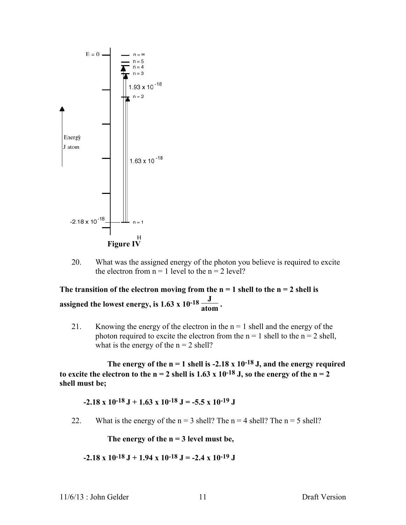

20. What was the assigned energy of the photon you believe is required to excite the electron from  $n = 1$  level to the  $n = 2$  level?

The transition of the electron moving from the  $n = 1$  shell to the  $n = 2$  shell is assigned the lowest energy, is  $1.63 \times 10^{-18} \frac{J}{\text{atom}}$ .

21. Knowing the energy of the electron in the  $n = 1$  shell and the energy of the photon required to excite the electron from the  $n = 1$  shell to the  $n = 2$  shell, what is the energy of the  $n = 2$  shell?

The energy of the  $n = 1$  shell is  $-2.18 \times 10^{-18}$  J, and the energy required to excite the electron to the  $n = 2$  shell is 1.63 x 10<sup>-18</sup> J, so the energy of the  $n = 2$ **shell must be;**

 $-2.18 \times 10^{-18} \text{ J} + 1.63 \times 10^{-18} \text{ J} = -5.5 \times 10^{-19} \text{ J}$ 

22. What is the energy of the  $n = 3$  shell? The  $n = 4$  shell? The  $n = 5$  shell?

**The energy of the n = 3 level must be,**

**-2.18 x 10-18 J + 1.94 x 10-18 J = -2.4 x 10-19 J**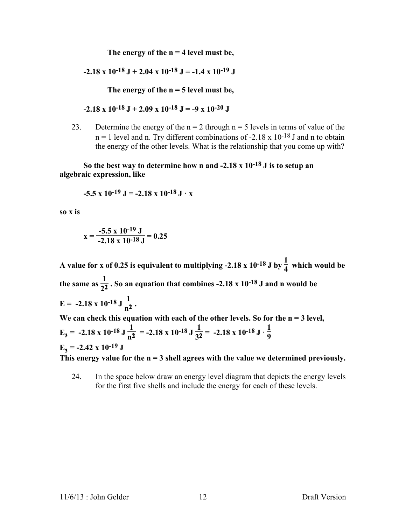**The energy of the n = 4 level must be,**

**-2.18 x 10-18 J + 2.04 x 10-18 J = -1.4 x 10-19 J**

**The energy of the n = 5 level must be,**

$$
-2.18 \times 10^{-18} \text{ J} + 2.09 \times 10^{-18} \text{ J} = -9 \times 10^{-20} \text{ J}
$$

23. Determine the energy of the  $n = 2$  through  $n = 5$  levels in terms of value of the  $n = 1$  level and n. Try different combinations of -2.18 x 10<sup>-18</sup> J and n to obtain the energy of the other levels. What is the relationship that you come up with?

**So the best way to determine how n and -2.18 x 10-18 J is to setup an algebraic expression, like**

$$
-5.5 \times 10^{-19} \text{ J} = -2.18 \times 10^{-18} \text{ J} \cdot \text{x}
$$

**so x is**

$$
x = \frac{-5.5 \times 10^{-19} \text{ J}}{-2.18 \times 10^{-18} \text{ J}} = 0.25
$$

A value for **x** of 0.25 is equivalent to multiplying -2.18 **x**  $10^{-18}$  J by  $\frac{1}{4}$  which would be the same as  $\frac{1}{2^2}$  . So an equation that combines -2.18 **x** 10<sup>-18</sup> J and **n** would be **E** = -2.18 x 10<sup>-18</sup> J  $\frac{1}{n^2}$ . We can check this equation with each of the other levels. So for the  $n = 3$  level, **E**<sub>3</sub> = -2.18 x 10<sup>-18</sup> J  $\frac{1}{n^2}$  = -2.18 x 10<sup>-18</sup> J  $\frac{1}{3^2}$  = -2.18 x 10<sup>-18</sup> J  $\cdot \frac{1}{9}$ **9**

 $E_3$  = -2.42 **x** 10<sup>-19</sup> **J** 

**This energy value for the n = 3 shell agrees with the value we determined previously.**

24. In the space below draw an energy level diagram that depicts the energy levels for the first five shells and include the energy for each of these levels.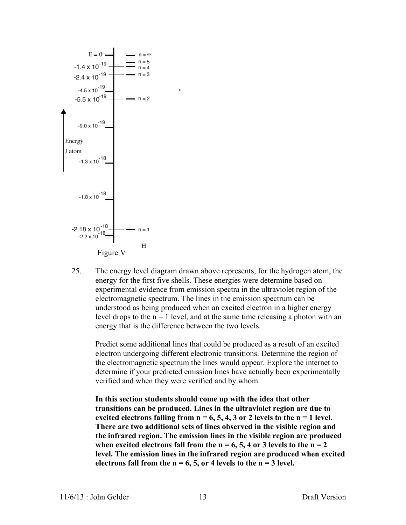

25. The energy level diagram drawn above represents, for the hydrogen atom, the energy for the first five shells. These energies were determine based on experimental evidence from emission spectra in the ultraviolet region of the electromagnetic spectrum. The lines in the emission spectrum can be understood as being produced when an excited electron in a higher energy level drops to the  $n = 1$  level, and at the same time releasing a photon with an energy that is the difference between the two levels.

Predict some additional lines that could be produced as a result of an excited electron undergoing different electronic transitions. Determine the region of the electromagnetic spectrum the lines would appear. Explore the internet to determine if your predicted emission lines have actually been experimentally verified and when they were verified and by whom.

**In this section students should come up with the idea that other transitions can be produced. Lines in the ultraviolet region are due to**  excited electrons falling from  $n = 6, 5, 4, 3$  or 2 levels to the  $n = 1$  level. **There are two additional sets of lines observed in the visible region and the infrared region. The emission lines in the visible region are produced**  when excited electrons fall from the  $n = 6, 5, 4$  or 3 levels to the  $n = 2$ **level. The emission lines in the infrared region are produced when excited**  electrons fall from the  $n = 6, 5,$  or 4 levels to the  $n = 3$  level.